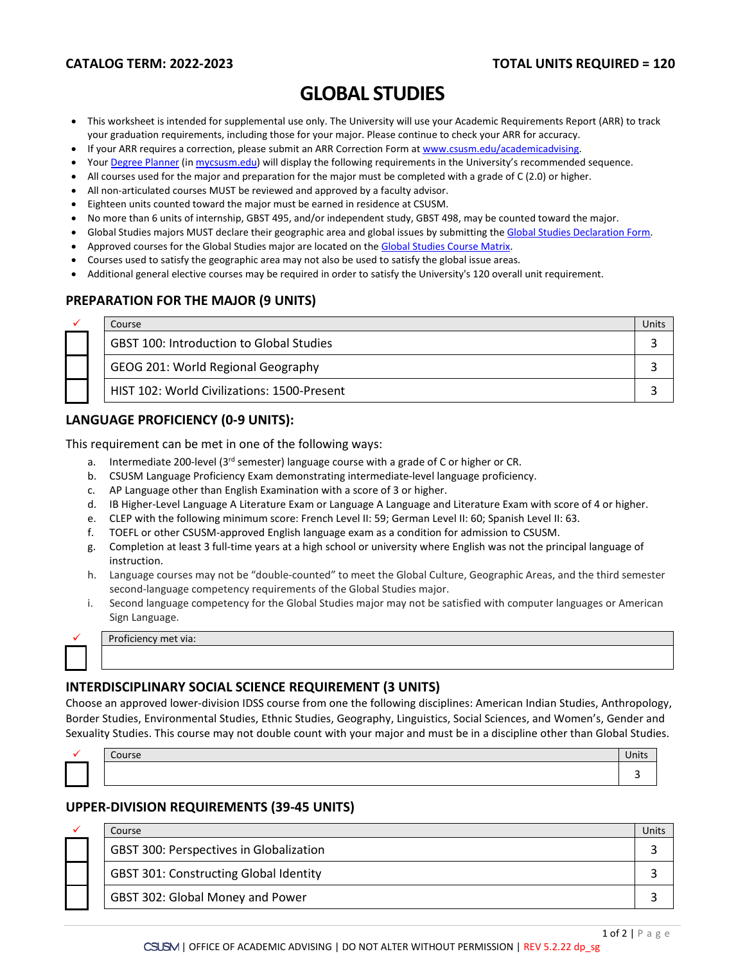# **GLOBAL STUDIES**

- This worksheet is intended for supplemental use only. The University will use your Academic Requirements Report (ARR) to track your graduation requirements, including those for your major. Please continue to check your ARR for accuracy.
- If your ARR requires a correction, please submit an [ARR Correction Form](http://www.csusm.edu/academicadvising/arrcorrection/index.html) a[t www.csusm.edu/academicadvising.](http://www.csusm.edu/academicadvising)
- You[r Degree Planner](https://www.csusm.edu/academicadvising/degreeplanner/index.html) (i[n mycsusm.edu\)](https://my.csusm.edu/) will display the following requirements in the University's recommended sequence.
- All courses used for the major and preparation for the major must be completed with a grade of C (2.0) or higher.
- All non-articulated courses MUST be reviewed and approved by a faculty advisor.
- Eighteen units counted toward the major must be earned in residence at CSUSM.
- No more than 6 units of internship, GBST 495, and/or independent study, GBST 498, may be counted toward the major.
- Global Studies majors MUST declare their geographic area and global issues by submitting the [Global Studies Declaration Form.](https://csusm.sharepoint.com/sites/academic_support_services/undergraduate_advising/UAS_internal/Shared%20Documents/UAS%20Shared/Major%20&%20Minor%20Worksheets/Global%20Studies/19-20/www.csusm.edu/academicadvising/majorminor/globalstudies/form.pcf)
- Approved courses for the Global Studies major are located on th[e Global Studies Course Matrix.](http://www.csusm.edu/academicadvising/majorminor/globalstudies/index.pcf)
- Courses used to satisfy the geographic area may not also be used to satisfy the global issue areas.
- Additional general elective courses may be required in order to satisfy the University's 120 overall unit requirement.

## **PREPARATION FOR THE MAJOR (9 UNITS)**

|  | Course                                          | Units |
|--|-------------------------------------------------|-------|
|  | <b>GBST 100: Introduction to Global Studies</b> |       |
|  | GEOG 201: World Regional Geography              |       |
|  | HIST 102: World Civilizations: 1500-Present     |       |

## **LANGUAGE PROFICIENCY (0-9 UNITS):**

This requirement can be met in one of the following ways:

- a. Intermediate 200-level ( $3<sup>rd</sup>$  semester) language course with a grade of C or higher or CR.
- b. CSUSM Language Proficiency Exam demonstrating intermediate-level language proficiency.
- c. AP Language other than English Examination with a score of 3 or higher.
- d. IB Higher-Level Language A Literature Exam or Language A Language and Literature Exam with score of 4 or higher.
- e. CLEP with the following minimum score: French Level II: 59; German Level II: 60; Spanish Level II: 63.
- f. TOEFL or other CSUSM-approved English language exam as a condition for admission to CSUSM.
- g. Completion at least 3 full-time years at a high school or university where English was not the principal language of instruction.
- h. Language courses may not be "double-counted" to meet the Global Culture, Geographic Areas, and the third semester second-language competency requirements of the Global Studies major.
- i. Second language competency for the Global Studies major may not be satisfied with computer languages or American Sign Language.



Proficiency met via:

## **INTERDISCIPLINARY SOCIAL SCIENCE REQUIREMENT (3 UNITS)**

Choose an approved lower-division IDSS course from one the following disciplines: American Indian Studies, Anthropology, Border Studies, Environmental Studies, Ethnic Studies, Geography, Linguistics, Social Sciences, and Women's, Gender and Sexuality Studies. This course may not double count with your major and must be in a discipline other than Global Studies.

|  | Course | 11 U |
|--|--------|------|
|  |        |      |

## **UPPER-DIVISION REQUIREMENTS (39-45 UNITS)**

|  | Course                                        | <b>Units</b> |
|--|-----------------------------------------------|--------------|
|  | GBST 300: Perspectives in Globalization       |              |
|  | <b>GBST 301: Constructing Global Identity</b> |              |
|  | GBST 302: Global Money and Power              |              |